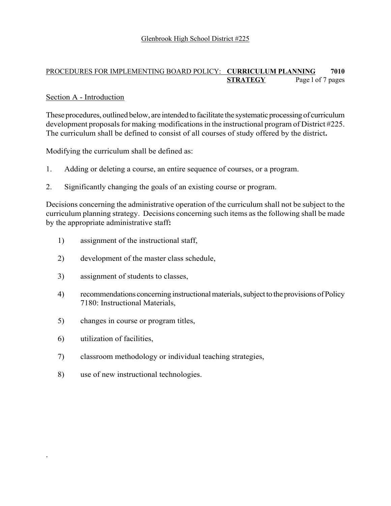### PROCEDURES FOR IMPLEMENTING BOARD POLICY: **CURRICULUM PLANNING 7010 STRATEGY** Page l of 7 pages

## Section A - Introduction

These procedures, outlined below, are intended to facilitate the systematic processing of curriculum development proposals for making modifications in the instructional program of District #225. The curriculum shall be defined to consist of all courses of study offered by the district**.**

Modifying the curriculum shall be defined as:

- 1. Adding or deleting a course, an entire sequence of courses, or a program.
- 2. Significantly changing the goals of an existing course or program.

Decisions concerning the administrative operation of the curriculum shall not be subject to the curriculum planning strategy. Decisions concerning such items as the following shall be made by the appropriate administrative staff**:**

- 1) assignment of the instructional staff,
- 2) development of the master class schedule,
- 3) assignment of students to classes,
- 4) recommendations concerning instructional materials, subject to the provisions of Policy 7180: Instructional Materials,
- 5) changes in course or program titles,
- 6) utilization of facilities,

.

- 7) classroom methodology or individual teaching strategies,
- 8) use of new instructional technologies.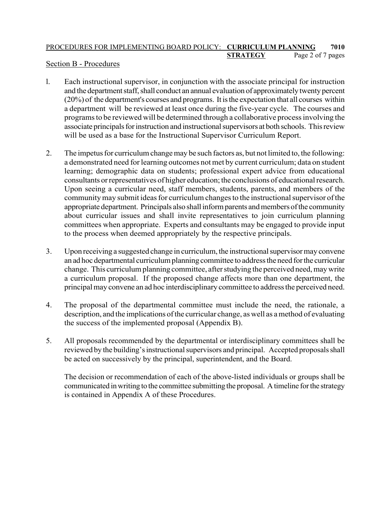# PROCEDURES FOR IMPLEMENTING BOARD POLICY: **CURRICULUM PLANNING 7010 STRATEGY** Page 2 of 7 pages

## Section B - Procedures

- l. Each instructional supervisor, in conjunction with the associate principal for instruction and the department staff, shall conduct an annual evaluation of approximately twenty percent (20%) of the department's courses and programs. It is the expectation that all courses within a department will be reviewed at least once during the five-year cycle. The courses and programs to be reviewed will be determined through a collaborative process involving the associate principals for instruction and instructional supervisors at both schools. This review will be used as a base for the Instructional Supervisor Curriculum Report.
- 2. The impetus for curriculum change may be such factors as, but not limited to, the following: a demonstrated need for learning outcomes not met by current curriculum; data on student learning; demographic data on students; professional expert advice from educational consultants or representatives of higher education; the conclusions of educational research. Upon seeing a curricular need, staff members, students, parents, and members of the community may submit ideas for curriculum changes to the instructional supervisor of the appropriate department. Principals also shall inform parents and members of the community about curricular issues and shall invite representatives to join curriculum planning committees when appropriate. Experts and consultants may be engaged to provide input to the process when deemed appropriately by the respective principals.
- 3. Upon receiving a suggested change in curriculum, the instructional supervisor may convene an ad hoc departmental curriculum planning committee to address the need for the curricular change. This curriculum planning committee, after studying the perceived need, may write a curriculum proposal. If the proposed change affects more than one department, the principal may convene an ad hoc interdisciplinary committee to address the perceived need.
- 4. The proposal of the departmental committee must include the need, the rationale, a description, and the implications of the curricular change, as well as a method of evaluating the success of the implemented proposal (Appendix B).
- 5. All proposals recommended by the departmental or interdisciplinary committees shall be reviewed by the building's instructional supervisors and principal. Accepted proposals shall be acted on successively by the principal, superintendent, and the Board.

The decision or recommendation of each of the above-listed individuals or groups shall be communicated in writing to the committee submitting the proposal. A timeline for the strategy is contained in Appendix A of these Procedures.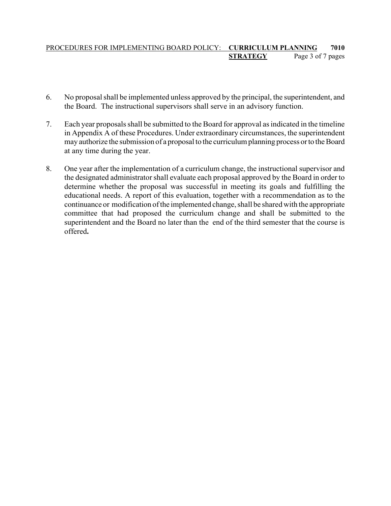## PROCEDURES FOR IMPLEMENTING BOARD POLICY: **CURRICULUM PLANNING 7010 STRATEGY** Page 3 of 7 pages

- 6. No proposal shall be implemented unless approved by the principal, the superintendent, and the Board. The instructional supervisors shall serve in an advisory function.
- 7. Each year proposals shall be submitted to the Board for approval as indicated in the timeline in Appendix A of these Procedures. Under extraordinary circumstances, the superintendent may authorize the submission of a proposal to the curriculum planning process or to the Board at any time during the year.
- 8. One year after the implementation of a curriculum change, the instructional supervisor and the designated administrator shall evaluate each proposal approved by the Board in order to determine whether the proposal was successful in meeting its goals and fulfilling the educational needs. A report of this evaluation, together with a recommendation as to the continuance or modification of the implemented change, shall be shared with the appropriate committee that had proposed the curriculum change and shall be submitted to the superintendent and the Board no later than the end of the third semester that the course is offered**.**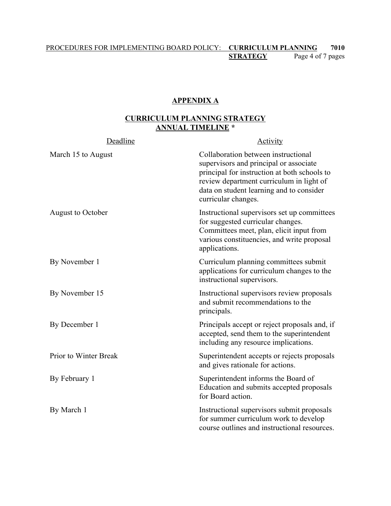## PROCEDURES FOR IMPLEMENTING BOARD POLICY: **CURRICULUM PLANNING 7010** Page 4 of 7 pages

#### **APPENDIX A**

# **CURRICULUM PLANNING STRATEGY ANNUAL TIMELINE \***

| Deadline                 | Activity                                                                                                                                                                                                                                     |
|--------------------------|----------------------------------------------------------------------------------------------------------------------------------------------------------------------------------------------------------------------------------------------|
| March 15 to August       | Collaboration between instructional<br>supervisors and principal or associate<br>principal for instruction at both schools to<br>review department curriculum in light of<br>data on student learning and to consider<br>curricular changes. |
| <b>August to October</b> | Instructional supervisors set up committees<br>for suggested curricular changes.<br>Committees meet, plan, elicit input from<br>various constituencies, and write proposal<br>applications.                                                  |
| By November 1            | Curriculum planning committees submit<br>applications for curriculum changes to the<br>instructional supervisors.                                                                                                                            |
| By November 15           | Instructional supervisors review proposals<br>and submit recommendations to the<br>principals.                                                                                                                                               |
| By December 1            | Principals accept or reject proposals and, if<br>accepted, send them to the superintendent<br>including any resource implications.                                                                                                           |
| Prior to Winter Break    | Superintendent accepts or rejects proposals<br>and gives rationale for actions.                                                                                                                                                              |
| By February 1            | Superintendent informs the Board of<br>Education and submits accepted proposals<br>for Board action.                                                                                                                                         |
| By March 1               | Instructional supervisors submit proposals<br>for summer curriculum work to develop<br>course outlines and instructional resources.                                                                                                          |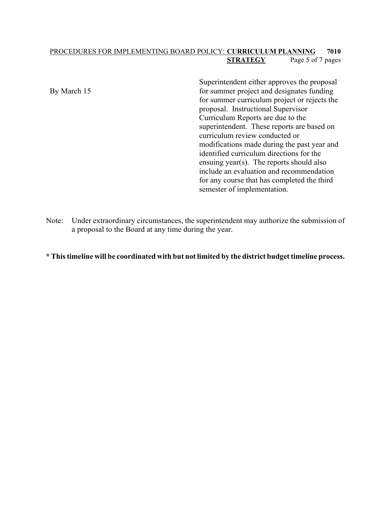### PROCEDURES FOR IMPLEMENTING BOARD POLICY: **CURRICULUM PLANNING 7010 STRATEGY** Page 5 of 7 pages

By March 15

Superintendent either approves the proposal for summer project and designates funding for summer curriculum project or rejects the proposal. Instructional Supervisor Curriculum Reports are due to the superintendent. These reports are based on curriculum review conducted or modifications made during the past year and identified curriculum directions for the ensuing year(s). The reports should also include an evaluation and recommendation for any course that has completed the third semester of implementation.

Note: Under extraordinary circumstances, the superintendent may authorize the submission of a proposal to the Board at any time during the year.

#### **\* This timeline will be coordinated with but not limited by the district budget timeline process.**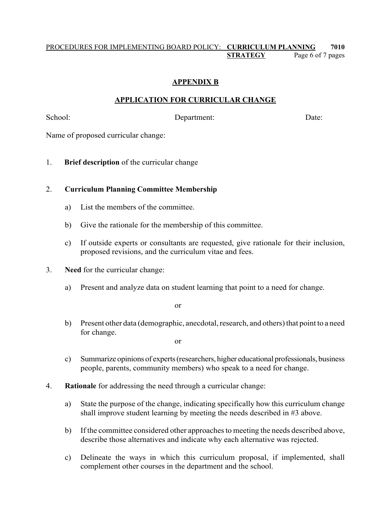## PROCEDURES FOR IMPLEMENTING BOARD POLICY: **CURRICULUM PLANNING 7010 STRATEGY** Page 6 of 7 pages

# **APPENDIX B**

# **APPLICATION FOR CURRICULAR CHANGE**

School: Department: Date: Date:

Name of proposed curricular change:

1. **Brief description** of the curricular change

## 2. **Curriculum Planning Committee Membership**

- a) List the members of the committee.
- b) Give the rationale for the membership of this committee.
- c) If outside experts or consultants are requested, give rationale for their inclusion, proposed revisions, and the curriculum vitae and fees.
- 3. **Need** for the curricular change:
	- a) Present and analyze data on student learning that point to a need for change.

or

b) Present other data (demographic, anecdotal, research, and others) that point to a need for change.

or

- c) Summarize opinions of experts (researchers, higher educational professionals, business people, parents, community members) who speak to a need for change.
- 4. **Rationale** for addressing the need through a curricular change:
	- a) State the purpose of the change, indicating specifically how this curriculum change shall improve student learning by meeting the needs described in #3 above.
	- b) If the committee considered other approaches to meeting the needs described above, describe those alternatives and indicate why each alternative was rejected.
	- c) Delineate the ways in which this curriculum proposal, if implemented, shall complement other courses in the department and the school.